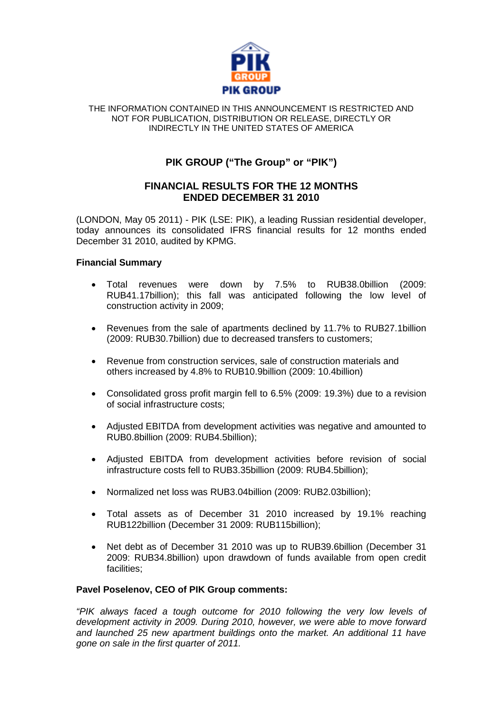

#### THE INFORMATION CONTAINED IN THIS ANNOUNCEMENT IS RESTRICTED AND NOT FOR PUBLICATION, DISTRIBUTION OR RELEASE, DIRECTLY OR INDIRECTLY IN THE UNITED STATES OF AMERICA

# **PIK GROUP ("The Group" or "PIK")**

## **FINANCIAL RESULTS FOR THE 12 MONTHS ENDED DECEMBER 31 2010**

(LONDON, May 05 2011) - PIK (LSE: PIK), a leading Russian residential developer, today announces its consolidated IFRS financial results for 12 months ended December 31 2010, audited by KPMG.

## **Financial Summary**

- Total revenues were down by 7.5% to RUB38.0billion (2009: RUB41.17billion); this fall was anticipated following the low level of construction activity in 2009;
- Revenues from the sale of apartments declined by 11.7% to RUB27.1billion (2009: RUB30.7billion) due to decreased transfers to customers;
- Revenue from construction services, sale of construction materials and others increased by 4.8% to RUB10.9billion (2009: 10.4billion)
- Consolidated gross profit margin fell to 6.5% (2009: 19.3%) due to a revision of social infrastructure costs;
- Adjusted EBITDA from development activities was negative and amounted to RUB0.8billion (2009: RUB4.5billion);
- Adjusted EBITDA from development activities before revision of social infrastructure costs fell to RUB3.35billion (2009: RUB4.5billion);
- Normalized net loss was RUB3.04billion (2009: RUB2.03billion);
- Total assets as of December 31 2010 increased by 19.1% reaching RUB122billion (December 31 2009: RUB115billion);
- Net debt as of December 31 2010 was up to RUB39.6billion (December 31 2009: RUB34.8billion) upon drawdown of funds available from open credit facilities;

## **Pavel Poselenov, CEO of PIK Group comments:**

*"PIK always faced a tough outcome for 2010 following the very low levels of development activity in 2009. During 2010, however, we were able to move forward and launched 25 new apartment buildings onto the market. An additional 11 have gone on sale in the first quarter of 2011.*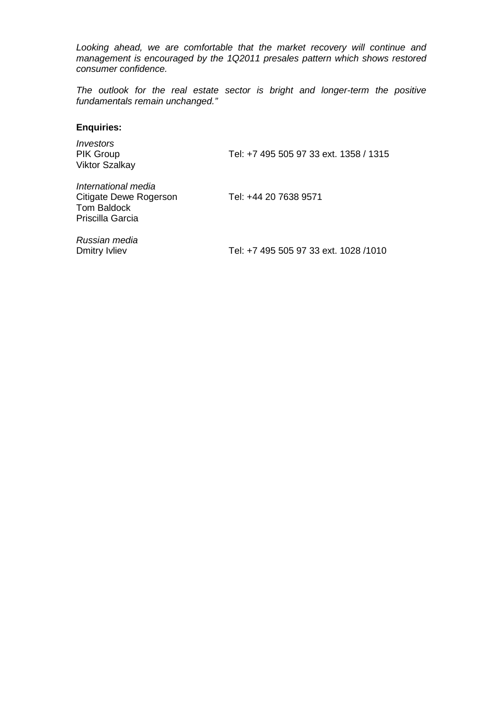*Looking ahead, we are comfortable that the market recovery will continue and management is encouraged by the 1Q2011 presales pattern which shows restored consumer confidence.*

*The outlook for the real estate sector is bright and longer-term the positive fundamentals remain unchanged."*

### **Enquiries:**

| <i><u><b>Investors</b></u></i><br><b>PIK Group</b><br><b>Viktor Szalkay</b>      | Tel: +7 495 505 97 33 ext. 1358 / 1315 |
|----------------------------------------------------------------------------------|----------------------------------------|
| International media<br>Citigate Dewe Rogerson<br>Tom Baldock<br>Priscilla Garcia | Tel: +44 20 7638 9571                  |
| .                                                                                |                                        |

*Russian media*

Tel: +7 495 505 97 33 ext. 1028 /1010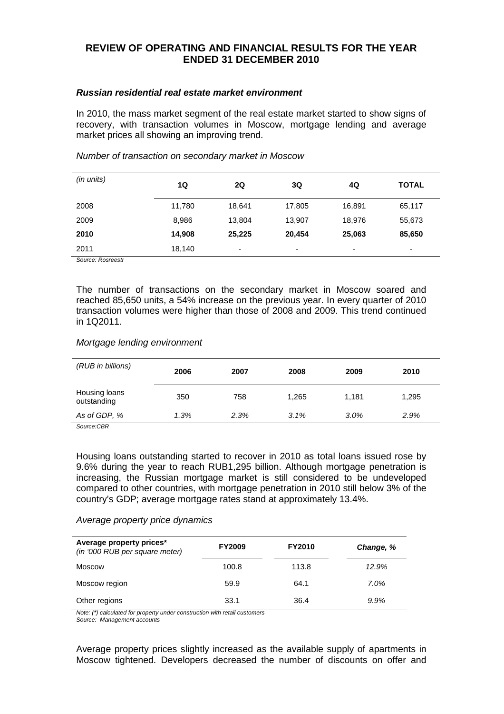## **REVIEW OF OPERATING AND FINANCIAL RESULTS FOR THE YEAR ENDED 31 DECEMBER 2010**

### *Russian residential real estate market environment*

In 2010, the mass market segment of the real estate market started to show signs of recovery, with transaction volumes in Moscow, mortgage lending and average market prices all showing an improving trend.

| (in units) | 1Q     | 2Q     | 3Q     | 4Q     | <b>TOTAL</b>             |
|------------|--------|--------|--------|--------|--------------------------|
| 2008       | 11,780 | 18,641 | 17,805 | 16,891 | 65,117                   |
| 2009       | 8,986  | 13,804 | 13,907 | 18,976 | 55,673                   |
| 2010       | 14,908 | 25,225 | 20,454 | 25,063 | 85,650                   |
| 2011       | 18,140 | ٠      | ۰      | ٠      | $\overline{\phantom{0}}$ |

### *Number of transaction on secondary market in Moscow*

*Source: Rosreestr*

The number of transactions on the secondary market in Moscow soared and reached 85,650 units, a 54% increase on the previous year. In every quarter of 2010 transaction volumes were higher than those of 2008 and 2009. This trend continued in 1Q2011.

## *Mortgage lending environment*

| (RUB in billions)                                         | 2006 | 2007 | 2008  | 2009  | 2010  |
|-----------------------------------------------------------|------|------|-------|-------|-------|
| Housing loans<br>outstanding                              | 350  | 758  | 1.265 | 1.181 | 1,295 |
| As of GDP, %<br>$\sim$ $\sim$<br>$\overline{\phantom{m}}$ | 1.3% | 2.3% | 3.1%  | 3.0%  | 2.9%  |

*Source:CBR*

Housing loans outstanding started to recover in 2010 as total loans issued rose by 9.6% during the year to reach RUB1,295 billion. Although mortgage penetration is increasing, the Russian mortgage market is still considered to be undeveloped compared to other countries, with mortgage penetration in 2010 still below 3% of the country's GDP; average mortgage rates stand at approximately 13.4%.

## *Average property price dynamics*

| Average property prices*<br>(in '000 RUB per square meter) | <b>FY2009</b> | <b>FY2010</b> | Change, % |
|------------------------------------------------------------|---------------|---------------|-----------|
| Moscow                                                     | 100.8         | 113.8         | 12.9%     |
| Moscow region                                              | 59.9          | 64.1          | 7.0%      |
| Other regions                                              | 33.1          | 36.4          | 9.9%      |

*Note: (\*) calculated for property under construction with retail customers*

*Source: Management accounts*

Average property prices slightly increased as the available supply of apartments in Moscow tightened. Developers decreased the number of discounts on offer and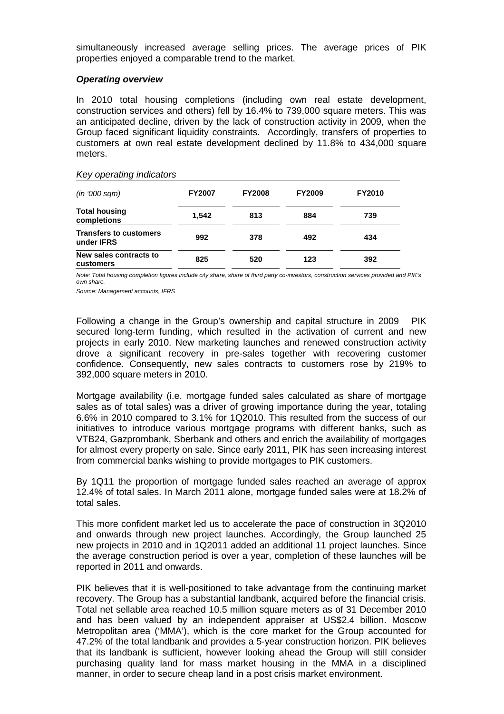simultaneously increased average selling prices. The average prices of PIK properties enjoyed a comparable trend to the market.

#### *Operating overview*

In 2010 total housing completions (including own real estate development, construction services and others) fell by 16.4% to 739,000 square meters. This was an anticipated decline, driven by the lack of construction activity in 2009, when the Group faced significant liquidity constraints. Accordingly, transfers of properties to customers at own real estate development declined by 11.8% to 434,000 square meters.

#### *Key operating indicators*

| (in '000 sgm)                               | <b>FY2007</b> | <b>FY2008</b> | <b>FY2009</b> | <b>FY2010</b> |
|---------------------------------------------|---------------|---------------|---------------|---------------|
| <b>Total housing</b><br>completions         | 1.542         | 813           | 884           | 739           |
| <b>Transfers to customers</b><br>under IFRS | 992           | 378           | 492           | 434           |
| New sales contracts to<br>customers         | 825           | 520           | 123           | 392           |

*Note: Total housing completion figures include city share, share of third party co-investors, construction services provided and PIK's own share.*

*Source: Management accounts, IFRS*

Following a change in the Group's ownership and capital structure in 2009 PIK secured long-term funding, which resulted in the activation of current and new projects in early 2010. New marketing launches and renewed construction activity drove a significant recovery in pre-sales together with recovering customer confidence. Consequently, new sales contracts to customers rose by 219% to 392,000 square meters in 2010.

Mortgage availability (i.e. mortgage funded sales calculated as share of mortgage sales as of total sales) was a driver of growing importance during the year, totaling 6.6% in 2010 compared to 3.1% for 1Q2010. This resulted from the success of our initiatives to introduce various mortgage programs with different banks, such as VTB24, Gazprombank, Sberbank and others and enrich the availability of mortgages for almost every property on sale. Since early 2011, PIK has seen increasing interest from commercial banks wishing to provide mortgages to PIK customers.

By 1Q11 the proportion of mortgage funded sales reached an average of approx 12.4% of total sales. In March 2011 alone, mortgage funded sales were at 18.2% of total sales.

This more confident market led us to accelerate the pace of construction in 3Q2010 and onwards through new project launches. Accordingly, the Group launched 25 new projects in 2010 and in 1Q2011 added an additional 11 project launches. Since the average construction period is over a year, completion of these launches will be reported in 2011 and onwards.

PIK believes that it is well-positioned to take advantage from the continuing market recovery. The Group has a substantial landbank, acquired before the financial crisis. Total net sellable area reached 10.5 million square meters as of 31 December 2010 and has been valued by an independent appraiser at US\$2.4 billion. Moscow Metropolitan area ('MMA'), which is the core market for the Group accounted for 47.2% of the total landbank and provides a 5-year construction horizon. PIK believes that its landbank is sufficient, however looking ahead the Group will still consider purchasing quality land for mass market housing in the MMA in a disciplined manner, in order to secure cheap land in a post crisis market environment.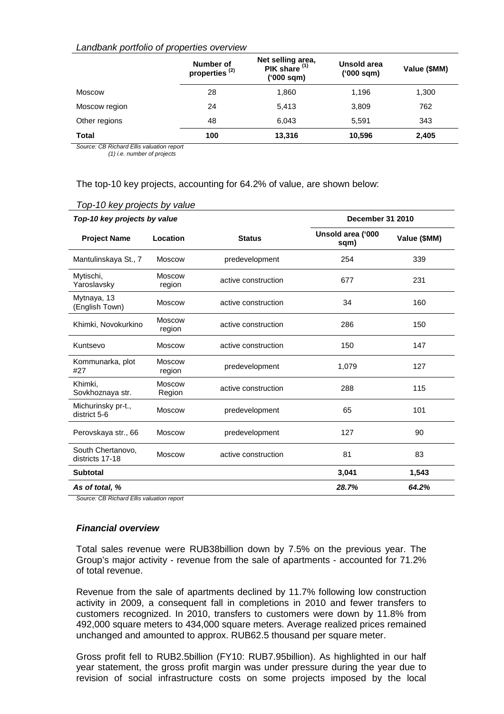### *Landbank portfolio of properties overview*

|               | Number of<br>properties <sup>(2)</sup> | Net selling area,<br>PIK share $(1)$<br>(000 sqm) | Unsold area<br>$(000 \text{ sqm})$ | Value (\$MM) |
|---------------|----------------------------------------|---------------------------------------------------|------------------------------------|--------------|
| <b>Moscow</b> | 28                                     | 1,860                                             | 1,196                              | 1,300        |
| Moscow region | 24                                     | 5,413                                             | 3,809                              | 762          |
| Other regions | 48                                     | 6.043                                             | 5.591                              | 343          |
| <b>Total</b>  | 100                                    | 13,316                                            | 10,596                             | 2,405        |

*Source: CB Richard Ellis valuation report (1) i.e. number of projects* 

The top-10 key projects, accounting for 64.2% of value, are shown below:

| Top-10 key projects by value         |                         | December 31 2010    |                           |              |
|--------------------------------------|-------------------------|---------------------|---------------------------|--------------|
| <b>Project Name</b>                  | Location                | <b>Status</b>       | Unsold area ('000<br>sqm) | Value (\$MM) |
| Mantulinskaya St., 7                 | <b>Moscow</b>           | predevelopment      | 254                       | 339          |
| Mytischi,<br>Yaroslavsky             | <b>Moscow</b><br>region | active construction | 677                       | 231          |
| Mytnaya, 13<br>(English Town)        | <b>Moscow</b>           | active construction | 34                        | 160          |
| Khimki, Novokurkino                  | <b>Moscow</b><br>region | active construction | 286                       | 150          |
| Kuntsevo                             | <b>Moscow</b>           | active construction | 150                       | 147          |
| Kommunarka, plot<br>#27              | <b>Moscow</b><br>region | predevelopment      | 1,079                     | 127          |
| Khimki,<br>Sovkhoznaya str.          | <b>Moscow</b><br>Region | active construction | 288                       | 115          |
| Michurinsky pr-t.,<br>district 5-6   | <b>Moscow</b>           | predevelopment      | 65                        | 101          |
| Perovskaya str., 66                  | <b>Moscow</b>           | predevelopment      | 127                       | 90           |
| South Chertanovo,<br>districts 17-18 | <b>Moscow</b>           | active construction | 81                        | 83           |
| <b>Subtotal</b>                      |                         |                     | 3,041                     | 1,543        |
| As of total, %                       |                         |                     | 28.7%                     | 64.2%        |

*Top-10 key projects by value*

*Source: CB Richard Ellis valuation report*

#### *Financial overview*

Total sales revenue were RUB38billion down by 7.5% on the previous year. The Group's major activity - revenue from the sale of apartments - accounted for 71.2% of total revenue.

Revenue from the sale of apartments declined by 11.7% following low construction activity in 2009, a consequent fall in completions in 2010 and fewer transfers to customers recognized. In 2010, transfers to customers were down by 11.8% from 492,000 square meters to 434,000 square meters. Average realized prices remained unchanged and amounted to approx. RUB62.5 thousand per square meter.

Gross profit fell to RUB2.5billion (FY10: RUB7.95billion). As highlighted in our half year statement, the gross profit margin was under pressure during the year due to revision of social infrastructure costs on some projects imposed by the local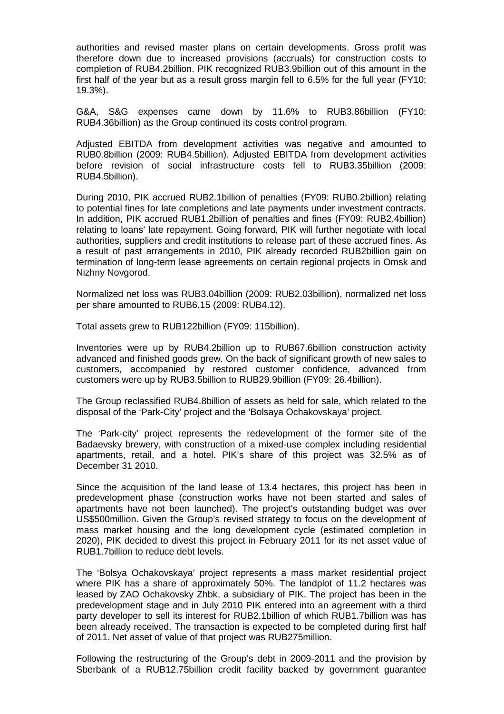authorities and revised master plans on certain developments. Gross profit was therefore down due to increased provisions (accruals) for construction costs to completion of RUB4.2billion. PIK recognized RUB3.9billion out of this amount in the first half of the year but as a result gross margin fell to 6.5% for the full year (FY10: 19.3%).

G&A, S&G expenses came down by 11.6% to RUB3.86billion (FY10: RUB4.36billion) as the Group continued its costs control program.

Adjusted EBITDA from development activities was negative and amounted to RUB0.8billion (2009: RUB4.5billion). Adjusted EBITDA from development activities before revision of social infrastructure costs fell to RUB3.35billion (2009: RUB4.5billion).

During 2010, PIK accrued RUB2.1billion of penalties (FY09: RUB0.2billion) relating to potential fines for late completions and late payments under investment contracts. In addition, PIK accrued RUB1.2billion of penalties and fines (FY09: RUB2.4billion) relating to loans' late repayment. Going forward, PIK will further negotiate with local authorities, suppliers and credit institutions to release part of these accrued fines. As a result of past arrangements in 2010, PIK already recorded RUB2billion gain on termination of long-term lease agreements on certain regional projects in Omsk and Nizhny Novgorod.

Normalized net loss was RUB3.04billion (2009: RUB2.03billion), normalized net loss per share amounted to RUB6.15 (2009: RUB4.12).

Total assets grew to RUB122billion (FY09: 115billion).

Inventories were up by RUB4.2billion up to RUB67.6billion construction activity advanced and finished goods grew. On the back of significant growth of new sales to customers, accompanied by restored customer confidence, advanced from customers were up by RUB3.5billion to RUB29.9billion (FY09: 26.4billion).

The Group reclassified RUB4.8billion of assets as held for sale, which related to the disposal of the 'Park-City' project and the 'Bolsaya Ochakovskaya' project.

The 'Park-city' project represents the redevelopment of the former site of the Badaevsky brewery, with construction of a mixed-use complex including residential apartments, retail, and a hotel. PIK's share of this project was 32.5% as of December 31 2010.

Since the acquisition of the land lease of 13.4 hectares, this project has been in predevelopment phase (construction works have not been started and sales of apartments have not been launched). The project's outstanding budget was over US\$500million. Given the Group's revised strategy to focus on the development of mass market housing and the long development cycle (estimated completion in 2020), PIK decided to divest this project in February 2011 for its net asset value of RUB1.7billion to reduce debt levels.

The 'Bolsya Ochakovskaya' project represents a mass market residential project where PIK has a share of approximately 50%. The landplot of 11.2 hectares was leased by ZAO Ochakovsky Zhbk, a subsidiary of PIK. The project has been in the predevelopment stage and in July 2010 PIK entered into an agreement with a third party developer to sell its interest for RUB2.1billion of which RUB1.7billion was has been already received. The transaction is expected to be completed during first half of 2011. Net asset of value of that project was RUB275million.

Following the restructuring of the Group's debt in 2009-2011 and the provision by Sberbank of a RUB12.75billion credit facility backed by government guarantee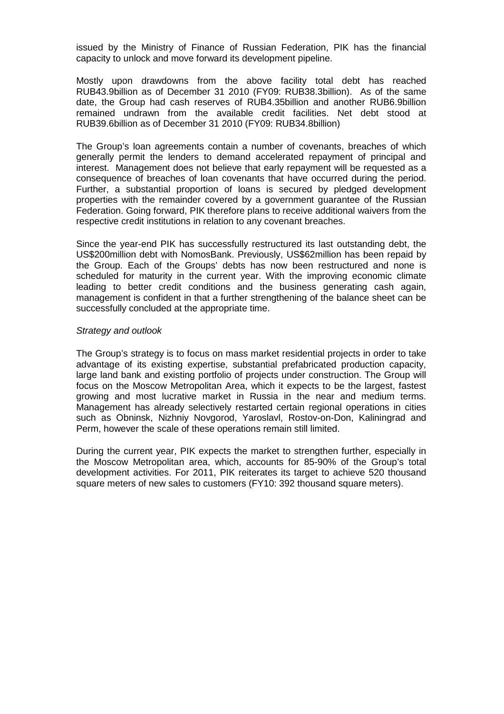issued by the Ministry of Finance of Russian Federation, PIK has the financial capacity to unlock and move forward its development pipeline.

Mostly upon drawdowns from the above facility total debt has reached RUB43.9billion as of December 31 2010 (FY09: RUB38.3billion). As of the same date, the Group had cash reserves of RUB4.35billion and another RUB6.9billion remained undrawn from the available credit facilities. Net debt stood at RUB39.6billion as of December 31 2010 (FY09: RUB34.8billion)

The Group's loan agreements contain a number of covenants, breaches of which generally permit the lenders to demand accelerated repayment of principal and interest. Management does not believe that early repayment will be requested as a consequence of breaches of loan covenants that have occurred during the period. Further, a substantial proportion of loans is secured by pledged development properties with the remainder covered by a government guarantee of the Russian Federation. Going forward, PIK therefore plans to receive additional waivers from the respective credit institutions in relation to any covenant breaches.

Since the year-end PIK has successfully restructured its last outstanding debt, the US\$200million debt with NomosBank. Previously, US\$62million has been repaid by the Group. Each of the Groups' debts has now been restructured and none is scheduled for maturity in the current year. With the improving economic climate leading to better credit conditions and the business generating cash again, management is confident in that a further strengthening of the balance sheet can be successfully concluded at the appropriate time.

#### *Strategy and outlook*

The Group's strategy is to focus on mass market residential projects in order to take advantage of its existing expertise, substantial prefabricated production capacity, large land bank and existing portfolio of projects under construction. The Group will focus on the Moscow Metropolitan Area, which it expects to be the largest, fastest growing and most lucrative market in Russia in the near and medium terms. Management has already selectively restarted certain regional operations in cities such as Obninsk, Nizhniy Novgorod, Yaroslavl, Rostov-on-Don, Kaliningrad and Perm, however the scale of these operations remain still limited.

During the current year, PIK expects the market to strengthen further, especially in the Moscow Metropolitan area, which, accounts for 85-90% of the Group's total development activities. For 2011, PIK reiterates its target to achieve 520 thousand square meters of new sales to customers (FY10: 392 thousand square meters).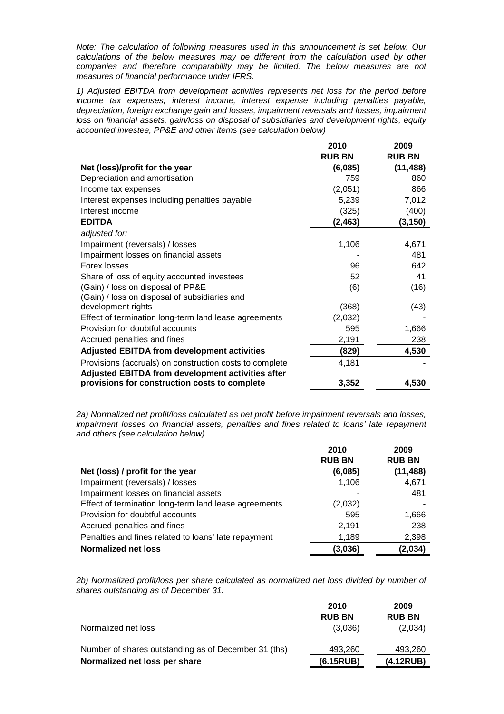*Note: The calculation of following measures used in this announcement is set below. Our calculations of the below measures may be different from the calculation used by other companies and therefore comparability may be limited. The below measures are not measures of financial performance under IFRS.* 

*1) Adjusted EBITDA from development activities represents net loss for the period before income tax expenses, interest income, interest expense including penalties payable, depreciation, foreign exchange gain and losses, impairment reversals and losses, impairment loss on financial assets, gain/loss on disposal of subsidiaries and development rights, equity accounted investee, PP&E and other items (see calculation below)*

a a la a

 $\sim$   $\sim$   $\sim$   $\sim$ 

|                                                         | 2010          | 2009          |
|---------------------------------------------------------|---------------|---------------|
|                                                         | <b>RUB BN</b> | <b>RUB BN</b> |
| Net (loss)/profit for the year                          | (6,085)       | (11, 488)     |
| Depreciation and amortisation                           | 759           | 860           |
| Income tax expenses                                     | (2,051)       | 866           |
| Interest expenses including penalties payable           | 5,239         | 7,012         |
| Interest income                                         | (325)         | (400)         |
| <b>EDITDA</b>                                           | (2, 463)      | (3, 150)      |
| adjusted for:                                           |               |               |
| Impairment (reversals) / losses                         | 1,106         | 4,671         |
| Impairment losses on financial assets                   |               | 481           |
| Forex losses                                            | 96            | 642           |
| Share of loss of equity accounted investees             | 52            | 41            |
| (Gain) / loss on disposal of PP&E                       | (6)           | (16)          |
| (Gain) / loss on disposal of subsidiaries and           |               |               |
| development rights                                      | (368)         | (43)          |
| Effect of termination long-term land lease agreements   | (2,032)       |               |
| Provision for doubtful accounts                         | 595           | 1,666         |
| Accrued penalties and fines                             | 2,191         | 238           |
| <b>Adjusted EBITDA from development activities</b>      | (829)         | 4,530         |
| Provisions (accruals) on construction costs to complete | 4,181         |               |
| Adjusted EBITDA from development activities after       |               |               |
| provisions for construction costs to complete           | 3,352         | 4,530         |

*2a) Normalized net profit/loss calculated as net profit before impairment reversals and losses, impairment losses on financial assets, penalties and fines related to loans' late repayment and others (see calculation below).*

|                                                       | 2010          | 2009          |
|-------------------------------------------------------|---------------|---------------|
|                                                       | <b>RUB BN</b> | <b>RUB BN</b> |
| Net (loss) / profit for the year                      | (6,085)       | (11, 488)     |
| Impairment (reversals) / losses                       | 1,106         | 4,671         |
| Impairment losses on financial assets                 |               | 481           |
| Effect of termination long-term land lease agreements | (2,032)       |               |
| Provision for doubtful accounts                       | 595           | 1,666         |
| Accrued penalties and fines                           | 2,191         | 238           |
| Penalties and fines related to loans' late repayment  | 1,189         | 2,398         |
| <b>Normalized net loss</b>                            | (3,036)       | (2,034)       |

*2b) Normalized profit/loss per share calculated as normalized net loss divided by number of shares outstanding as of December 31.*

|                                                      | 2010          | 2009          |
|------------------------------------------------------|---------------|---------------|
|                                                      | <b>RUB BN</b> | <b>RUB BN</b> |
| Normalized net loss                                  | (3,036)       | (2,034)       |
| Number of shares outstanding as of December 31 (ths) | 493,260       | 493,260       |
| Normalized net loss per share                        | (6.15RUB)     | (4.12RUB)     |